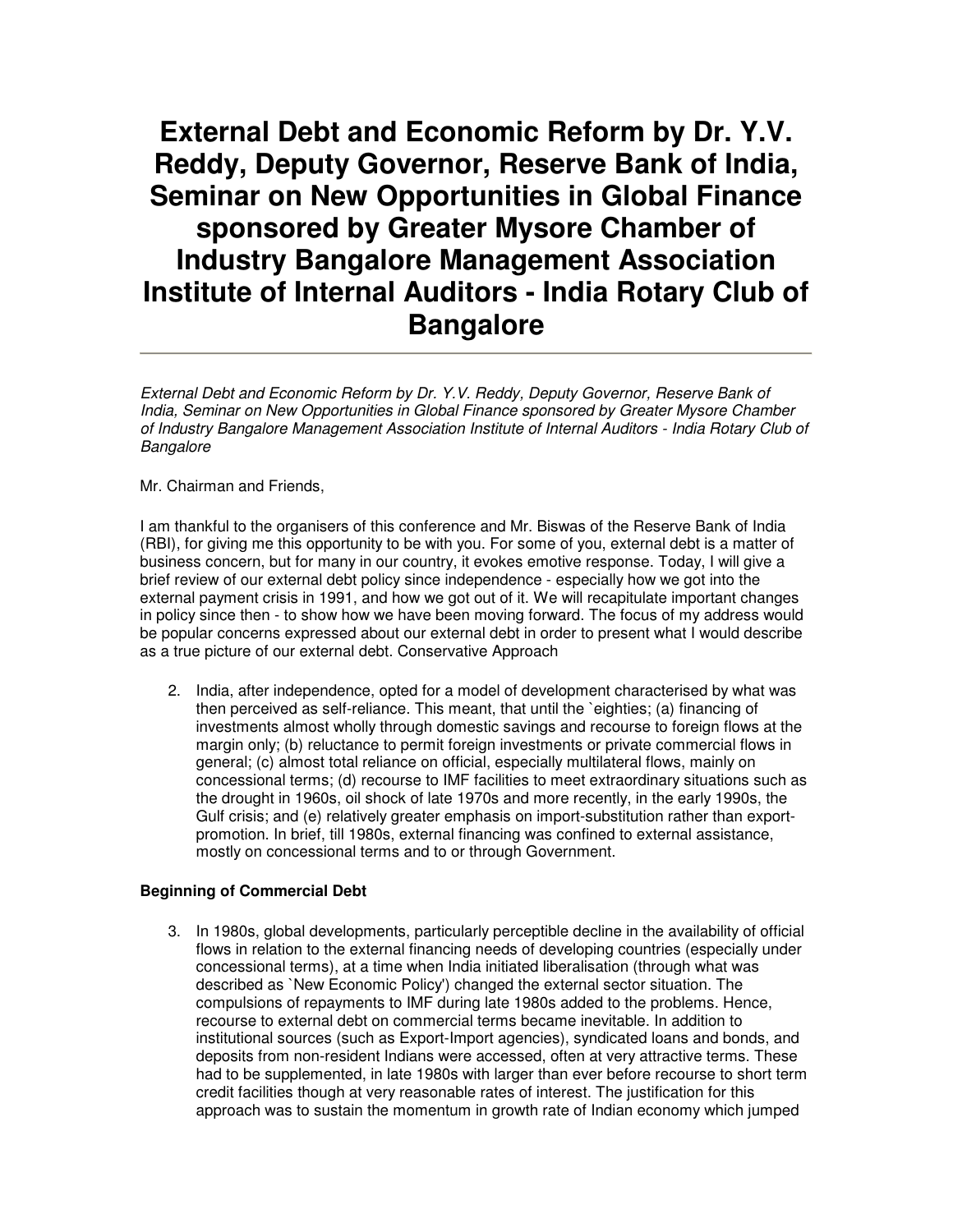# **External Debt and Economic Reform by Dr. Y.V. Reddy, Deputy Governor, Reserve Bank of India, Seminar on New Opportunities in Global Finance sponsored by Greater Mysore Chamber of Industry Bangalore Management Association Institute of Internal Auditors - India Rotary Club of Bangalore**

External Debt and Economic Reform by Dr. Y.V. Reddy, Deputy Governor, Reserve Bank of India, Seminar on New Opportunities in Global Finance sponsored by Greater Mysore Chamber of Industry Bangalore Management Association Institute of Internal Auditors - India Rotary Club of **Bangalore** 

Mr. Chairman and Friends,

I am thankful to the organisers of this conference and Mr. Biswas of the Reserve Bank of India (RBI), for giving me this opportunity to be with you. For some of you, external debt is a matter of business concern, but for many in our country, it evokes emotive response. Today, I will give a brief review of our external debt policy since independence - especially how we got into the external payment crisis in 1991, and how we got out of it. We will recapitulate important changes in policy since then - to show how we have been moving forward. The focus of my address would be popular concerns expressed about our external debt in order to present what I would describe as a true picture of our external debt. Conservative Approach

2. India, after independence, opted for a model of development characterised by what was then perceived as self-reliance. This meant, that until the `eighties; (a) financing of investments almost wholly through domestic savings and recourse to foreign flows at the margin only; (b) reluctance to permit foreign investments or private commercial flows in general; (c) almost total reliance on official, especially multilateral flows, mainly on concessional terms; (d) recourse to IMF facilities to meet extraordinary situations such as the drought in 1960s, oil shock of late 1970s and more recently, in the early 1990s, the Gulf crisis; and (e) relatively greater emphasis on import-substitution rather than exportpromotion. In brief, till 1980s, external financing was confined to external assistance, mostly on concessional terms and to or through Government.

## **Beginning of Commercial Debt**

3. In 1980s, global developments, particularly perceptible decline in the availability of official flows in relation to the external financing needs of developing countries (especially under concessional terms), at a time when India initiated liberalisation (through what was described as `New Economic Policy') changed the external sector situation. The compulsions of repayments to IMF during late 1980s added to the problems. Hence, recourse to external debt on commercial terms became inevitable. In addition to institutional sources (such as Export-Import agencies), syndicated loans and bonds, and deposits from non-resident Indians were accessed, often at very attractive terms. These had to be supplemented, in late 1980s with larger than ever before recourse to short term credit facilities though at very reasonable rates of interest. The justification for this approach was to sustain the momentum in growth rate of Indian economy which jumped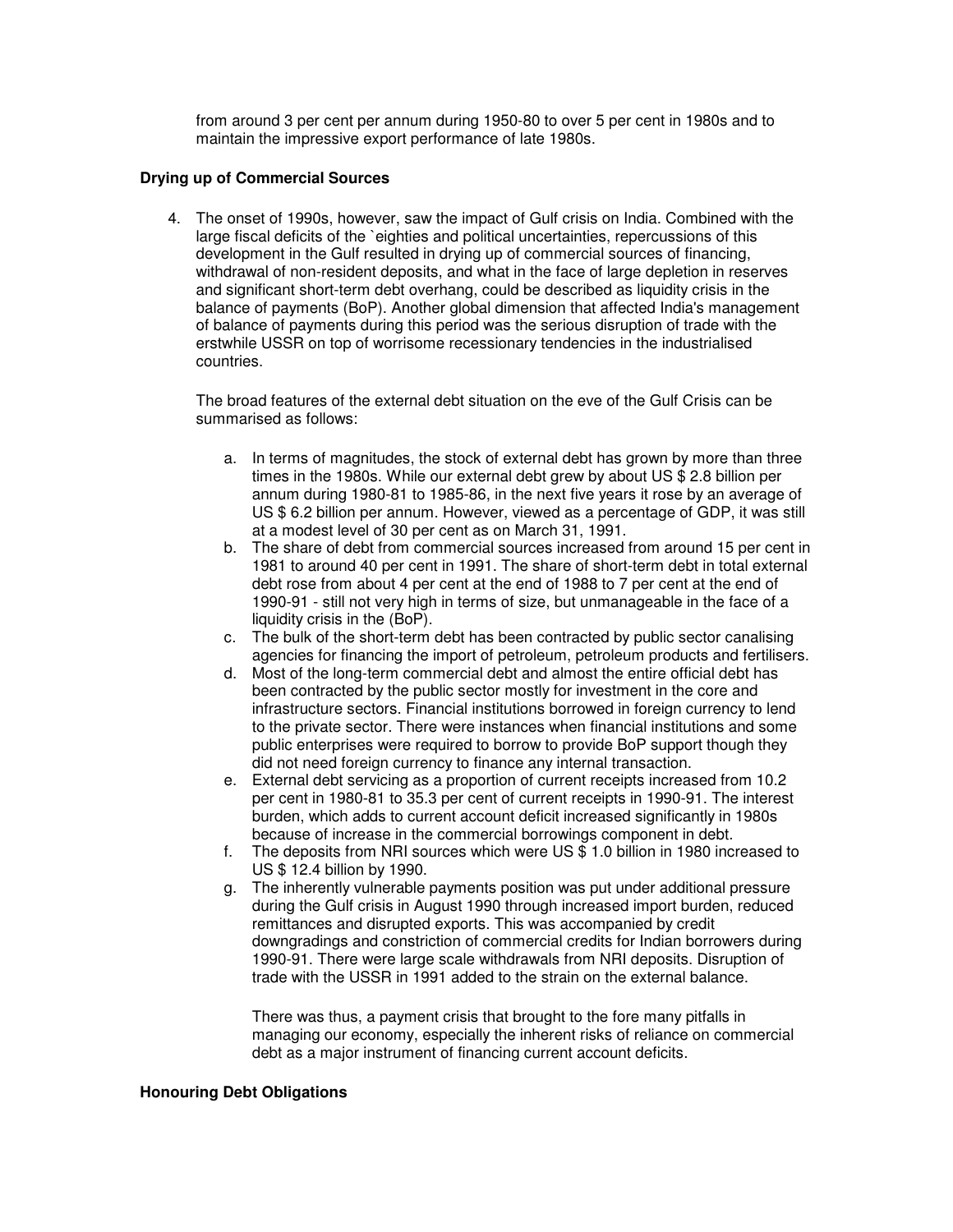from around 3 per cent per annum during 1950-80 to over 5 per cent in 1980s and to maintain the impressive export performance of late 1980s.

# **Drying up of Commercial Sources**

4. The onset of 1990s, however, saw the impact of Gulf crisis on India. Combined with the large fiscal deficits of the `eighties and political uncertainties, repercussions of this development in the Gulf resulted in drying up of commercial sources of financing, withdrawal of non-resident deposits, and what in the face of large depletion in reserves and significant short-term debt overhang, could be described as liquidity crisis in the balance of payments (BoP). Another global dimension that affected India's management of balance of payments during this period was the serious disruption of trade with the erstwhile USSR on top of worrisome recessionary tendencies in the industrialised countries.

The broad features of the external debt situation on the eve of the Gulf Crisis can be summarised as follows:

- a. In terms of magnitudes, the stock of external debt has grown by more than three times in the 1980s. While our external debt grew by about US \$ 2.8 billion per annum during 1980-81 to 1985-86, in the next five years it rose by an average of US \$ 6.2 billion per annum. However, viewed as a percentage of GDP, it was still at a modest level of 30 per cent as on March 31, 1991.
- b. The share of debt from commercial sources increased from around 15 per cent in 1981 to around 40 per cent in 1991. The share of short-term debt in total external debt rose from about 4 per cent at the end of 1988 to 7 per cent at the end of 1990-91 - still not very high in terms of size, but unmanageable in the face of a liquidity crisis in the (BoP).
- c. The bulk of the short-term debt has been contracted by public sector canalising agencies for financing the import of petroleum, petroleum products and fertilisers.
- d. Most of the long-term commercial debt and almost the entire official debt has been contracted by the public sector mostly for investment in the core and infrastructure sectors. Financial institutions borrowed in foreign currency to lend to the private sector. There were instances when financial institutions and some public enterprises were required to borrow to provide BoP support though they did not need foreign currency to finance any internal transaction.
- e. External debt servicing as a proportion of current receipts increased from 10.2 per cent in 1980-81 to 35.3 per cent of current receipts in 1990-91. The interest burden, which adds to current account deficit increased significantly in 1980s because of increase in the commercial borrowings component in debt.
- f. The deposits from NRI sources which were US \$ 1.0 billion in 1980 increased to US \$ 12.4 billion by 1990.
- g. The inherently vulnerable payments position was put under additional pressure during the Gulf crisis in August 1990 through increased import burden, reduced remittances and disrupted exports. This was accompanied by credit downgradings and constriction of commercial credits for Indian borrowers during 1990-91. There were large scale withdrawals from NRI deposits. Disruption of trade with the USSR in 1991 added to the strain on the external balance.

There was thus, a payment crisis that brought to the fore many pitfalls in managing our economy, especially the inherent risks of reliance on commercial debt as a major instrument of financing current account deficits.

#### **Honouring Debt Obligations**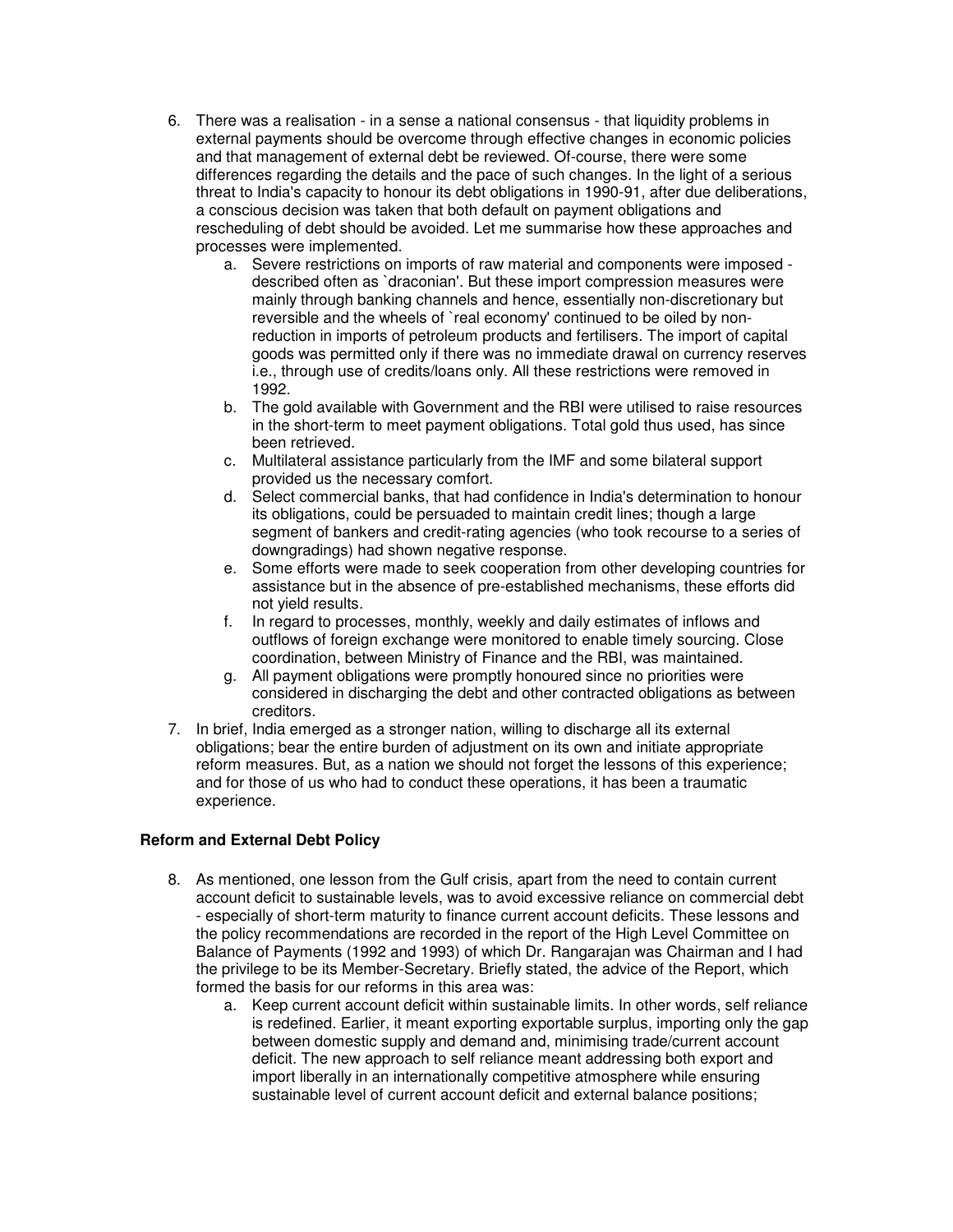- 6. There was a realisation in a sense a national consensus that liquidity problems in external payments should be overcome through effective changes in economic policies and that management of external debt be reviewed. Of-course, there were some differences regarding the details and the pace of such changes. In the light of a serious threat to India's capacity to honour its debt obligations in 1990-91, after due deliberations, a conscious decision was taken that both default on payment obligations and rescheduling of debt should be avoided. Let me summarise how these approaches and processes were implemented.
	- a. Severe restrictions on imports of raw material and components were imposed described often as `draconian'. But these import compression measures were mainly through banking channels and hence, essentially non-discretionary but reversible and the wheels of `real economy' continued to be oiled by nonreduction in imports of petroleum products and fertilisers. The import of capital goods was permitted only if there was no immediate drawal on currency reserves i.e., through use of credits/loans only. All these restrictions were removed in 1992.
	- b. The gold available with Government and the RBI were utilised to raise resources in the short-term to meet payment obligations. Total gold thus used, has since been retrieved.
	- c. Multilateral assistance particularly from the IMF and some bilateral support provided us the necessary comfort.
	- d. Select commercial banks, that had confidence in India's determination to honour its obligations, could be persuaded to maintain credit lines; though a large segment of bankers and credit-rating agencies (who took recourse to a series of downgradings) had shown negative response.
	- e. Some efforts were made to seek cooperation from other developing countries for assistance but in the absence of pre-established mechanisms, these efforts did not yield results.
	- f. In regard to processes, monthly, weekly and daily estimates of inflows and outflows of foreign exchange were monitored to enable timely sourcing. Close coordination, between Ministry of Finance and the RBI, was maintained.
	- g. All payment obligations were promptly honoured since no priorities were considered in discharging the debt and other contracted obligations as between creditors.
- 7. In brief, India emerged as a stronger nation, willing to discharge all its external obligations; bear the entire burden of adjustment on its own and initiate appropriate reform measures. But, as a nation we should not forget the lessons of this experience; and for those of us who had to conduct these operations, it has been a traumatic experience.

# **Reform and External Debt Policy**

- 8. As mentioned, one lesson from the Gulf crisis, apart from the need to contain current account deficit to sustainable levels, was to avoid excessive reliance on commercial debt - especially of short-term maturity to finance current account deficits. These lessons and the policy recommendations are recorded in the report of the High Level Committee on Balance of Payments (1992 and 1993) of which Dr. Rangarajan was Chairman and I had the privilege to be its Member-Secretary. Briefly stated, the advice of the Report, which formed the basis for our reforms in this area was:
	- a. Keep current account deficit within sustainable limits. In other words, self reliance is redefined. Earlier, it meant exporting exportable surplus, importing only the gap between domestic supply and demand and, minimising trade/current account deficit. The new approach to self reliance meant addressing both export and import liberally in an internationally competitive atmosphere while ensuring sustainable level of current account deficit and external balance positions;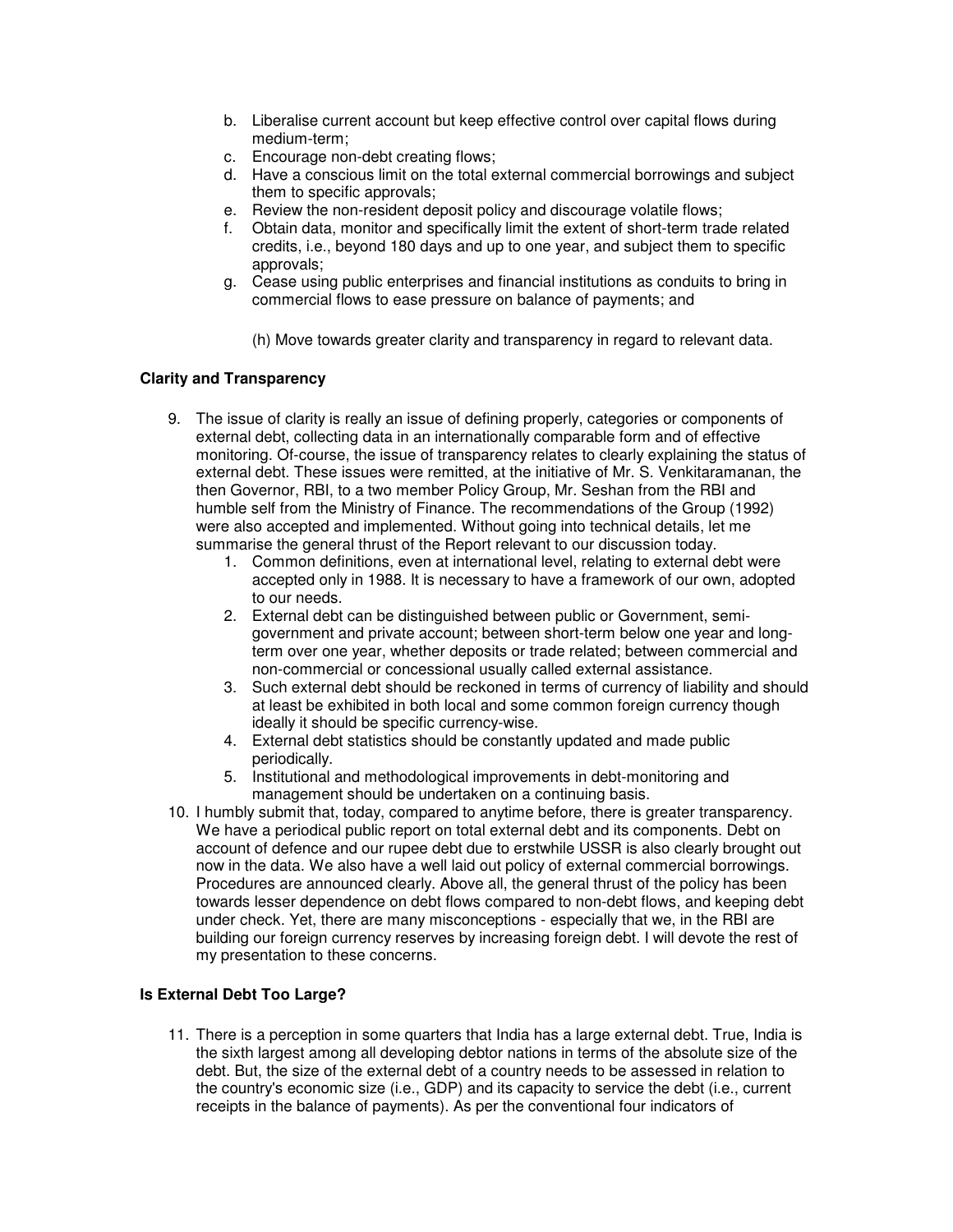- b. Liberalise current account but keep effective control over capital flows during medium-term;
- c. Encourage non-debt creating flows;
- d. Have a conscious limit on the total external commercial borrowings and subject them to specific approvals;
- e. Review the non-resident deposit policy and discourage volatile flows;
- f. Obtain data, monitor and specifically limit the extent of short-term trade related credits, i.e., beyond 180 days and up to one year, and subject them to specific approvals;
- g. Cease using public enterprises and financial institutions as conduits to bring in commercial flows to ease pressure on balance of payments; and
	- (h) Move towards greater clarity and transparency in regard to relevant data.

# **Clarity and Transparency**

- 9. The issue of clarity is really an issue of defining properly, categories or components of external debt, collecting data in an internationally comparable form and of effective monitoring. Of-course, the issue of transparency relates to clearly explaining the status of external debt. These issues were remitted, at the initiative of Mr. S. Venkitaramanan, the then Governor, RBI, to a two member Policy Group, Mr. Seshan from the RBI and humble self from the Ministry of Finance. The recommendations of the Group (1992) were also accepted and implemented. Without going into technical details, let me summarise the general thrust of the Report relevant to our discussion today.
	- 1. Common definitions, even at international level, relating to external debt were accepted only in 1988. It is necessary to have a framework of our own, adopted to our needs.
	- 2. External debt can be distinguished between public or Government, semigovernment and private account; between short-term below one year and longterm over one year, whether deposits or trade related; between commercial and non-commercial or concessional usually called external assistance.
	- 3. Such external debt should be reckoned in terms of currency of liability and should at least be exhibited in both local and some common foreign currency though ideally it should be specific currency-wise.
	- 4. External debt statistics should be constantly updated and made public periodically.
	- 5. Institutional and methodological improvements in debt-monitoring and management should be undertaken on a continuing basis.
- 10. I humbly submit that, today, compared to anytime before, there is greater transparency. We have a periodical public report on total external debt and its components. Debt on account of defence and our rupee debt due to erstwhile USSR is also clearly brought out now in the data. We also have a well laid out policy of external commercial borrowings. Procedures are announced clearly. Above all, the general thrust of the policy has been towards lesser dependence on debt flows compared to non-debt flows, and keeping debt under check. Yet, there are many misconceptions - especially that we, in the RBI are building our foreign currency reserves by increasing foreign debt. I will devote the rest of my presentation to these concerns.

# **Is External Debt Too Large?**

11. There is a perception in some quarters that India has a large external debt. True, India is the sixth largest among all developing debtor nations in terms of the absolute size of the debt. But, the size of the external debt of a country needs to be assessed in relation to the country's economic size (i.e., GDP) and its capacity to service the debt (i.e., current receipts in the balance of payments). As per the conventional four indicators of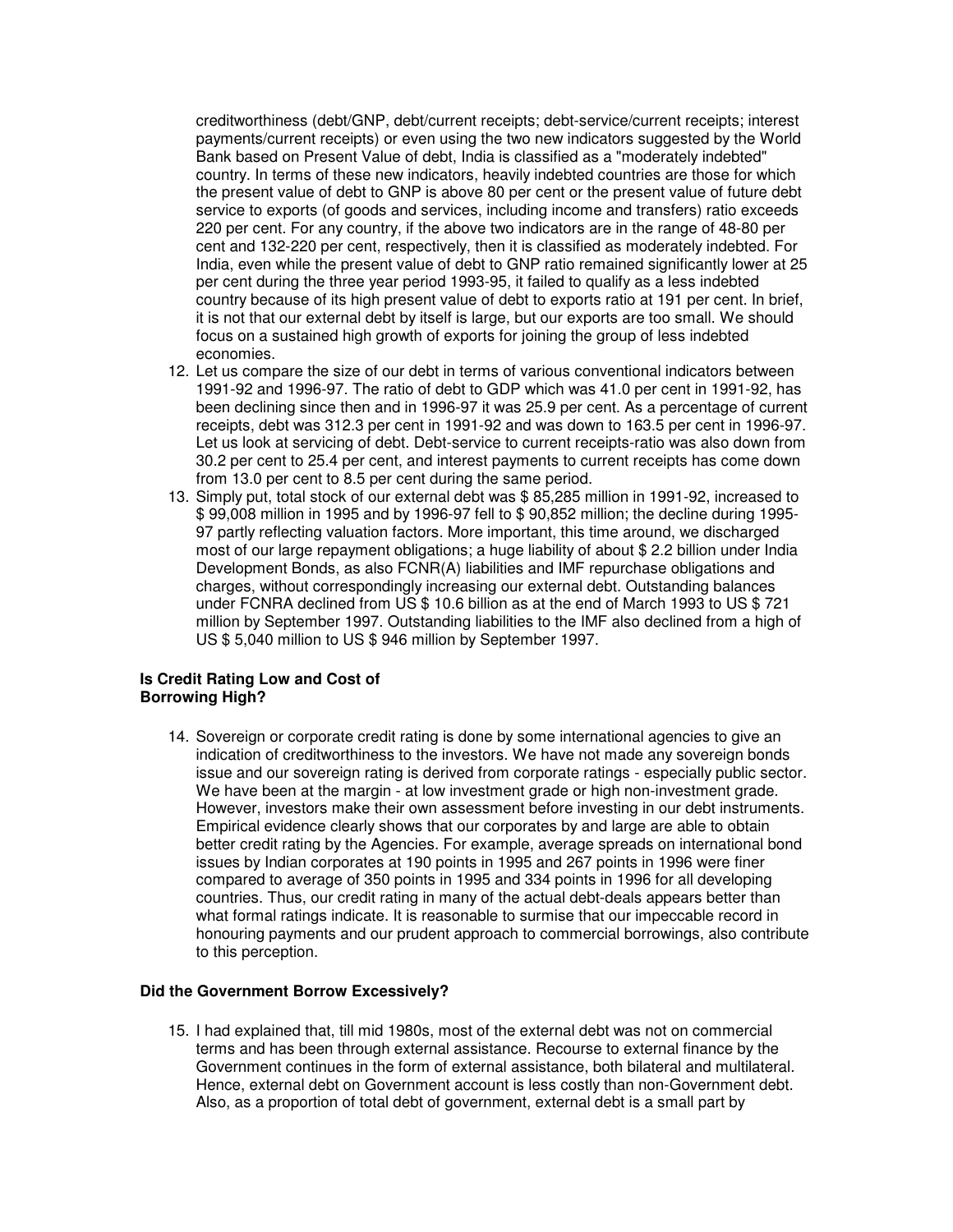creditworthiness (debt/GNP, debt/current receipts; debt-service/current receipts; interest payments/current receipts) or even using the two new indicators suggested by the World Bank based on Present Value of debt, India is classified as a "moderately indebted" country. In terms of these new indicators, heavily indebted countries are those for which the present value of debt to GNP is above 80 per cent or the present value of future debt service to exports (of goods and services, including income and transfers) ratio exceeds 220 per cent. For any country, if the above two indicators are in the range of 48-80 per cent and 132-220 per cent, respectively, then it is classified as moderately indebted. For India, even while the present value of debt to GNP ratio remained significantly lower at 25 per cent during the three year period 1993-95, it failed to qualify as a less indebted country because of its high present value of debt to exports ratio at 191 per cent. In brief, it is not that our external debt by itself is large, but our exports are too small. We should focus on a sustained high growth of exports for joining the group of less indebted economies.

- 12. Let us compare the size of our debt in terms of various conventional indicators between 1991-92 and 1996-97. The ratio of debt to GDP which was 41.0 per cent in 1991-92, has been declining since then and in 1996-97 it was 25.9 per cent. As a percentage of current receipts, debt was 312.3 per cent in 1991-92 and was down to 163.5 per cent in 1996-97. Let us look at servicing of debt. Debt-service to current receipts-ratio was also down from 30.2 per cent to 25.4 per cent, and interest payments to current receipts has come down from 13.0 per cent to 8.5 per cent during the same period.
- 13. Simply put, total stock of our external debt was \$ 85,285 million in 1991-92, increased to \$ 99,008 million in 1995 and by 1996-97 fell to \$ 90,852 million; the decline during 1995- 97 partly reflecting valuation factors. More important, this time around, we discharged most of our large repayment obligations; a huge liability of about \$ 2.2 billion under India Development Bonds, as also FCNR(A) liabilities and IMF repurchase obligations and charges, without correspondingly increasing our external debt. Outstanding balances under FCNRA declined from US \$ 10.6 billion as at the end of March 1993 to US \$ 721 million by September 1997. Outstanding liabilities to the IMF also declined from a high of US \$ 5,040 million to US \$ 946 million by September 1997.

## **Is Credit Rating Low and Cost of Borrowing High?**

14. Sovereign or corporate credit rating is done by some international agencies to give an indication of creditworthiness to the investors. We have not made any sovereign bonds issue and our sovereign rating is derived from corporate ratings - especially public sector. We have been at the margin - at low investment grade or high non-investment grade. However, investors make their own assessment before investing in our debt instruments. Empirical evidence clearly shows that our corporates by and large are able to obtain better credit rating by the Agencies. For example, average spreads on international bond issues by Indian corporates at 190 points in 1995 and 267 points in 1996 were finer compared to average of 350 points in 1995 and 334 points in 1996 for all developing countries. Thus, our credit rating in many of the actual debt-deals appears better than what formal ratings indicate. It is reasonable to surmise that our impeccable record in honouring payments and our prudent approach to commercial borrowings, also contribute to this perception.

## **Did the Government Borrow Excessively?**

15. I had explained that, till mid 1980s, most of the external debt was not on commercial terms and has been through external assistance. Recourse to external finance by the Government continues in the form of external assistance, both bilateral and multilateral. Hence, external debt on Government account is less costly than non-Government debt. Also, as a proportion of total debt of government, external debt is a small part by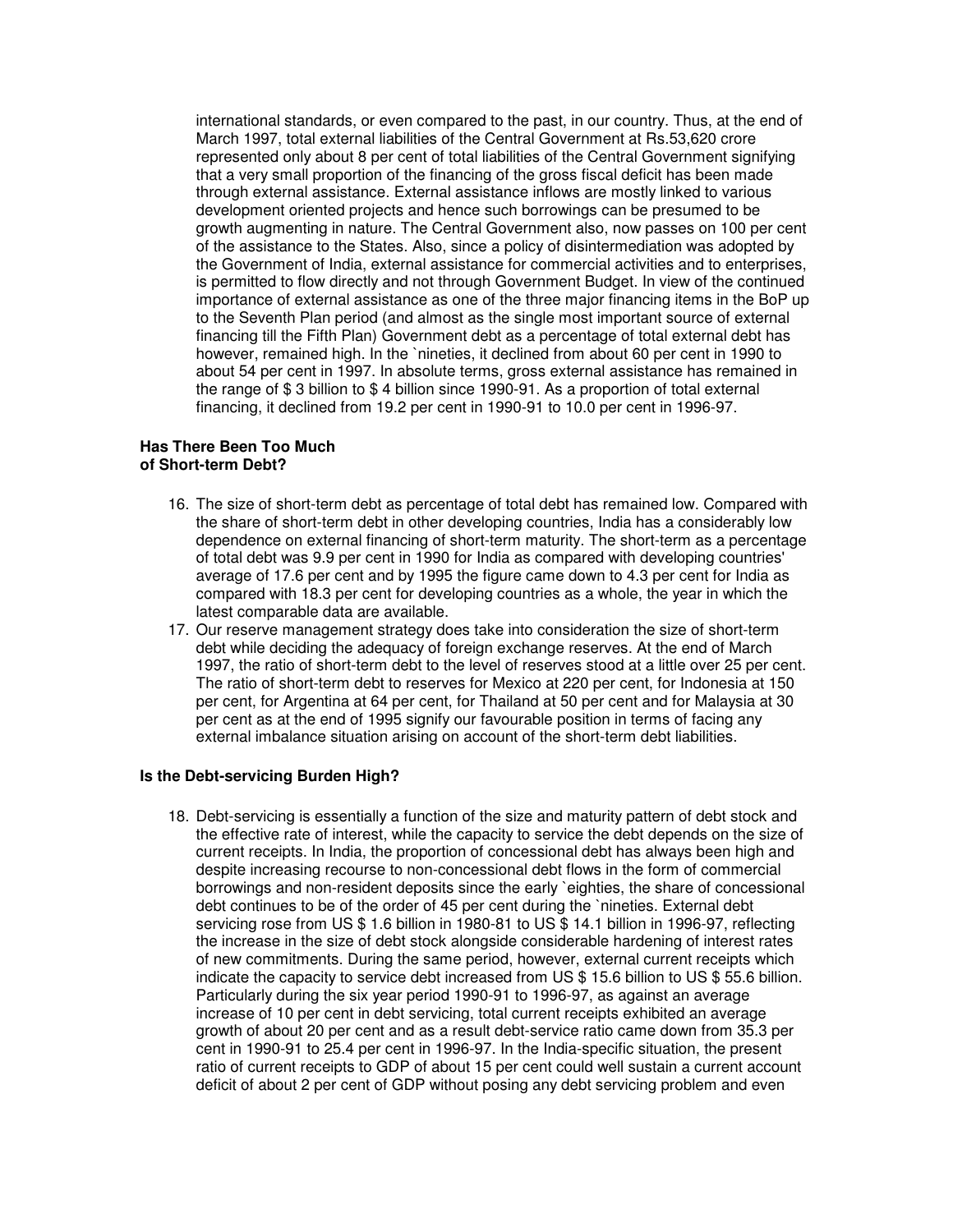international standards, or even compared to the past, in our country. Thus, at the end of March 1997, total external liabilities of the Central Government at Rs.53,620 crore represented only about 8 per cent of total liabilities of the Central Government signifying that a very small proportion of the financing of the gross fiscal deficit has been made through external assistance. External assistance inflows are mostly linked to various development oriented projects and hence such borrowings can be presumed to be growth augmenting in nature. The Central Government also, now passes on 100 per cent of the assistance to the States. Also, since a policy of disintermediation was adopted by the Government of India, external assistance for commercial activities and to enterprises, is permitted to flow directly and not through Government Budget. In view of the continued importance of external assistance as one of the three major financing items in the BoP up to the Seventh Plan period (and almost as the single most important source of external financing till the Fifth Plan) Government debt as a percentage of total external debt has however, remained high. In the `nineties, it declined from about 60 per cent in 1990 to about 54 per cent in 1997. In absolute terms, gross external assistance has remained in the range of \$ 3 billion to \$ 4 billion since 1990-91. As a proportion of total external financing, it declined from 19.2 per cent in 1990-91 to 10.0 per cent in 1996-97.

#### **Has There Been Too Much of Short-term Debt?**

- 16. The size of short-term debt as percentage of total debt has remained low. Compared with the share of short-term debt in other developing countries, India has a considerably low dependence on external financing of short-term maturity. The short-term as a percentage of total debt was 9.9 per cent in 1990 for India as compared with developing countries' average of 17.6 per cent and by 1995 the figure came down to 4.3 per cent for India as compared with 18.3 per cent for developing countries as a whole, the year in which the latest comparable data are available.
- 17. Our reserve management strategy does take into consideration the size of short-term debt while deciding the adequacy of foreign exchange reserves. At the end of March 1997, the ratio of short-term debt to the level of reserves stood at a little over 25 per cent. The ratio of short-term debt to reserves for Mexico at 220 per cent, for Indonesia at 150 per cent, for Argentina at 64 per cent, for Thailand at 50 per cent and for Malaysia at 30 per cent as at the end of 1995 signify our favourable position in terms of facing any external imbalance situation arising on account of the short-term debt liabilities.

## **Is the Debt-servicing Burden High?**

18. Debt-servicing is essentially a function of the size and maturity pattern of debt stock and the effective rate of interest, while the capacity to service the debt depends on the size of current receipts. In India, the proportion of concessional debt has always been high and despite increasing recourse to non-concessional debt flows in the form of commercial borrowings and non-resident deposits since the early `eighties, the share of concessional debt continues to be of the order of 45 per cent during the `nineties. External debt servicing rose from US \$ 1.6 billion in 1980-81 to US \$ 14.1 billion in 1996-97, reflecting the increase in the size of debt stock alongside considerable hardening of interest rates of new commitments. During the same period, however, external current receipts which indicate the capacity to service debt increased from US \$ 15.6 billion to US \$ 55.6 billion. Particularly during the six year period 1990-91 to 1996-97, as against an average increase of 10 per cent in debt servicing, total current receipts exhibited an average growth of about 20 per cent and as a result debt-service ratio came down from 35.3 per cent in 1990-91 to 25.4 per cent in 1996-97. In the India-specific situation, the present ratio of current receipts to GDP of about 15 per cent could well sustain a current account deficit of about 2 per cent of GDP without posing any debt servicing problem and even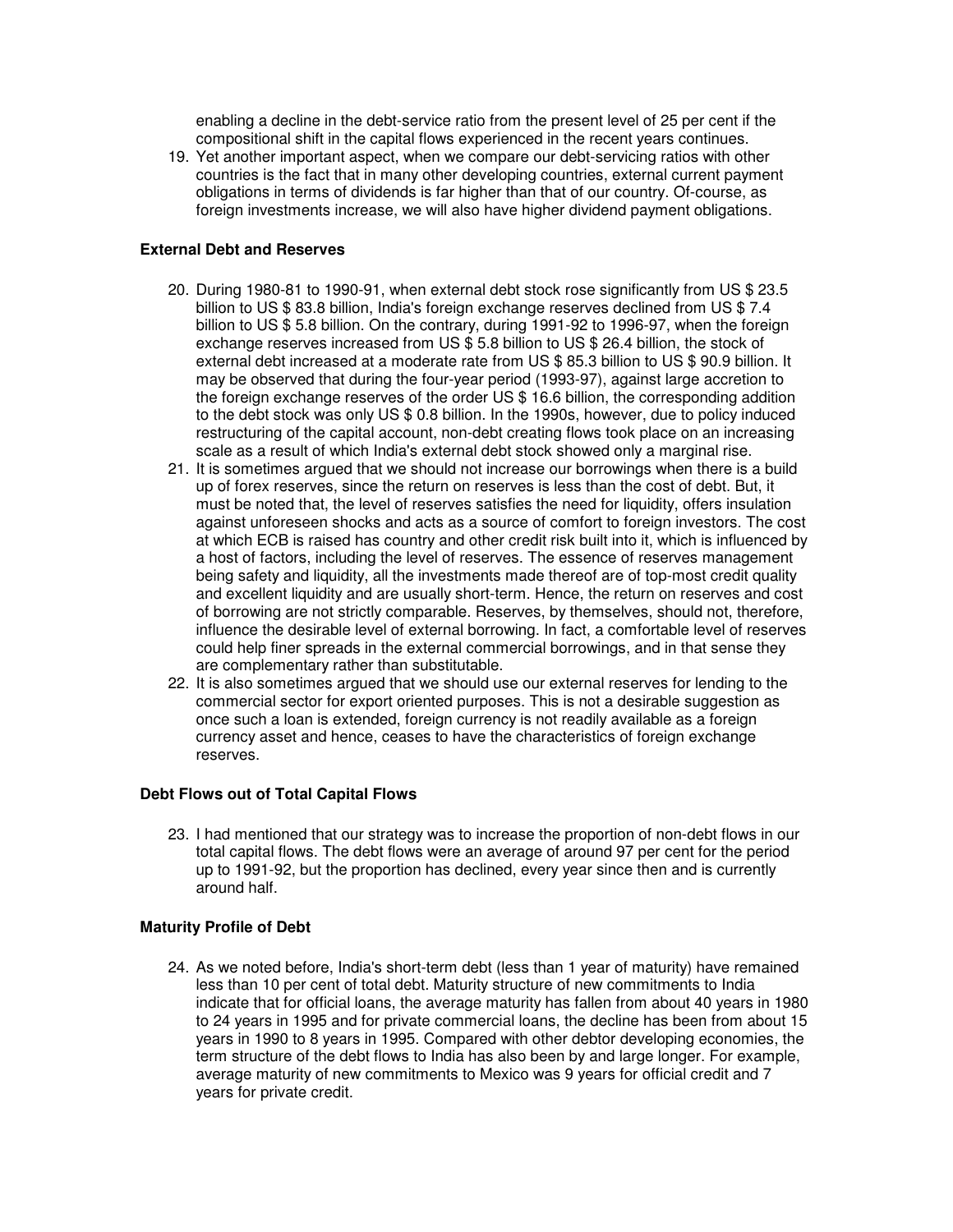enabling a decline in the debt-service ratio from the present level of 25 per cent if the compositional shift in the capital flows experienced in the recent years continues.

19. Yet another important aspect, when we compare our debt-servicing ratios with other countries is the fact that in many other developing countries, external current payment obligations in terms of dividends is far higher than that of our country. Of-course, as foreign investments increase, we will also have higher dividend payment obligations.

# **External Debt and Reserves**

- 20. During 1980-81 to 1990-91, when external debt stock rose significantly from US \$ 23.5 billion to US \$ 83.8 billion, India's foreign exchange reserves declined from US \$ 7.4 billion to US \$ 5.8 billion. On the contrary, during 1991-92 to 1996-97, when the foreign exchange reserves increased from US \$ 5.8 billion to US \$ 26.4 billion, the stock of external debt increased at a moderate rate from US \$ 85.3 billion to US \$ 90.9 billion. It may be observed that during the four-year period (1993-97), against large accretion to the foreign exchange reserves of the order US \$ 16.6 billion, the corresponding addition to the debt stock was only US \$ 0.8 billion. In the 1990s, however, due to policy induced restructuring of the capital account, non-debt creating flows took place on an increasing scale as a result of which India's external debt stock showed only a marginal rise.
- 21. It is sometimes argued that we should not increase our borrowings when there is a build up of forex reserves, since the return on reserves is less than the cost of debt. But, it must be noted that, the level of reserves satisfies the need for liquidity, offers insulation against unforeseen shocks and acts as a source of comfort to foreign investors. The cost at which ECB is raised has country and other credit risk built into it, which is influenced by a host of factors, including the level of reserves. The essence of reserves management being safety and liquidity, all the investments made thereof are of top-most credit quality and excellent liquidity and are usually short-term. Hence, the return on reserves and cost of borrowing are not strictly comparable. Reserves, by themselves, should not, therefore, influence the desirable level of external borrowing. In fact, a comfortable level of reserves could help finer spreads in the external commercial borrowings, and in that sense they are complementary rather than substitutable.
- 22. It is also sometimes argued that we should use our external reserves for lending to the commercial sector for export oriented purposes. This is not a desirable suggestion as once such a loan is extended, foreign currency is not readily available as a foreign currency asset and hence, ceases to have the characteristics of foreign exchange reserves.

# **Debt Flows out of Total Capital Flows**

23. I had mentioned that our strategy was to increase the proportion of non-debt flows in our total capital flows. The debt flows were an average of around 97 per cent for the period up to 1991-92, but the proportion has declined, every year since then and is currently around half.

# **Maturity Profile of Debt**

24. As we noted before, India's short-term debt (less than 1 year of maturity) have remained less than 10 per cent of total debt. Maturity structure of new commitments to India indicate that for official loans, the average maturity has fallen from about 40 years in 1980 to 24 years in 1995 and for private commercial loans, the decline has been from about 15 years in 1990 to 8 years in 1995. Compared with other debtor developing economies, the term structure of the debt flows to India has also been by and large longer. For example, average maturity of new commitments to Mexico was 9 years for official credit and 7 years for private credit.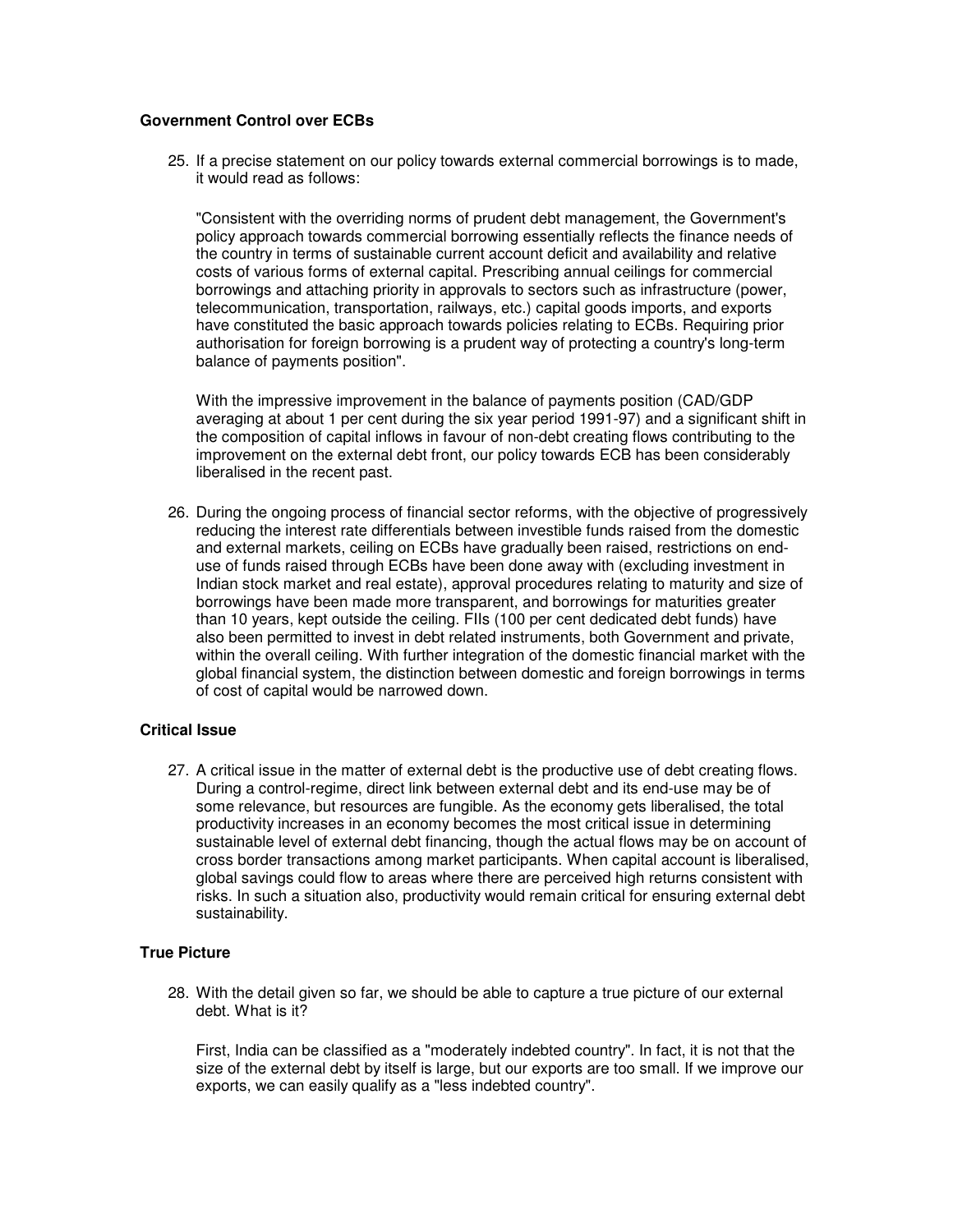# **Government Control over ECBs**

25. If a precise statement on our policy towards external commercial borrowings is to made, it would read as follows:

"Consistent with the overriding norms of prudent debt management, the Government's policy approach towards commercial borrowing essentially reflects the finance needs of the country in terms of sustainable current account deficit and availability and relative costs of various forms of external capital. Prescribing annual ceilings for commercial borrowings and attaching priority in approvals to sectors such as infrastructure (power, telecommunication, transportation, railways, etc.) capital goods imports, and exports have constituted the basic approach towards policies relating to ECBs. Requiring prior authorisation for foreign borrowing is a prudent way of protecting a country's long-term balance of payments position".

With the impressive improvement in the balance of payments position (CAD/GDP averaging at about 1 per cent during the six year period 1991-97) and a significant shift in the composition of capital inflows in favour of non-debt creating flows contributing to the improvement on the external debt front, our policy towards ECB has been considerably liberalised in the recent past.

26. During the ongoing process of financial sector reforms, with the objective of progressively reducing the interest rate differentials between investible funds raised from the domestic and external markets, ceiling on ECBs have gradually been raised, restrictions on enduse of funds raised through ECBs have been done away with (excluding investment in Indian stock market and real estate), approval procedures relating to maturity and size of borrowings have been made more transparent, and borrowings for maturities greater than 10 years, kept outside the ceiling. FIIs (100 per cent dedicated debt funds) have also been permitted to invest in debt related instruments, both Government and private, within the overall ceiling. With further integration of the domestic financial market with the global financial system, the distinction between domestic and foreign borrowings in terms of cost of capital would be narrowed down.

## **Critical Issue**

27. A critical issue in the matter of external debt is the productive use of debt creating flows. During a control-regime, direct link between external debt and its end-use may be of some relevance, but resources are fungible. As the economy gets liberalised, the total productivity increases in an economy becomes the most critical issue in determining sustainable level of external debt financing, though the actual flows may be on account of cross border transactions among market participants. When capital account is liberalised, global savings could flow to areas where there are perceived high returns consistent with risks. In such a situation also, productivity would remain critical for ensuring external debt sustainability.

## **True Picture**

28. With the detail given so far, we should be able to capture a true picture of our external debt. What is it?

First, India can be classified as a "moderately indebted country". In fact, it is not that the size of the external debt by itself is large, but our exports are too small. If we improve our exports, we can easily qualify as a "less indebted country".